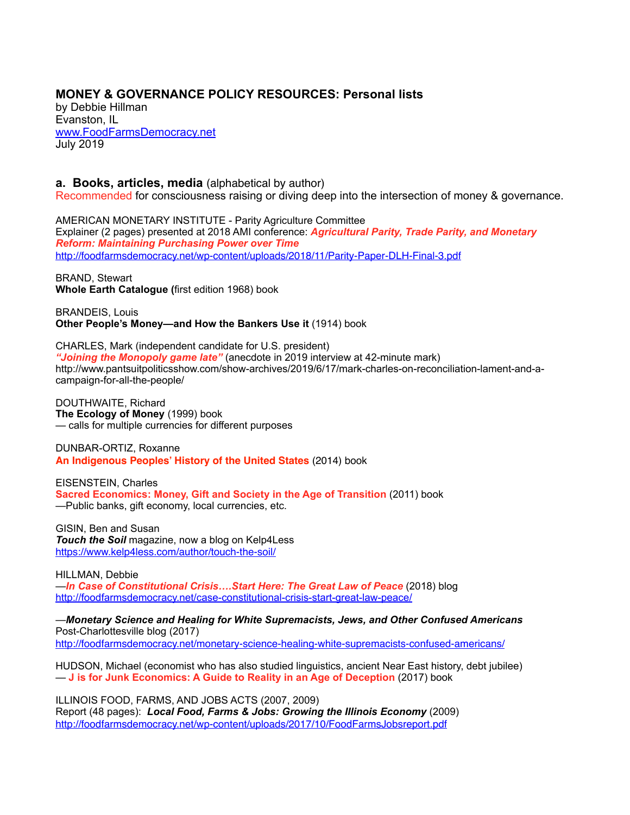## **MONEY & GOVERNANCE POLICY RESOURCES: Personal lists**

by Debbie Hillman Evanston, IL [www.FoodFarmsDemocracy.net](http://www.foodfarmsdemocracy.net)  July 2019

## **a. Books, articles, media** (alphabetical by author)

Recommended for consciousness raising or diving deep into the intersection of money & governance.

AMERICAN MONETARY INSTITUTE - Parity Agriculture Committee Explainer (2 pages) presented at 2018 AMI conference: *Agricultural Parity, Trade Parity, and Monetary Reform: Maintaining Purchasing Power over Time* <http://foodfarmsdemocracy.net/wp-content/uploads/2018/11/Parity-Paper-DLH-Final-3.pdf>

BRAND, Stewart **Whole Earth Catalogue (**first edition 1968) book

BRANDEIS, Louis **Other People's Money—and How the Bankers Use it** (1914) book

CHARLES, Mark (independent candidate for U.S. president) *"Joining the Monopoly game late"* (anecdote in 2019 interview at 42-minute mark) http://www.pantsuitpoliticsshow.com/show-archives/2019/6/17/mark-charles-on-reconciliation-lament-and-acampaign-for-all-the-people/

DOUTHWAITE, Richard **The Ecology of Money** (1999) book — calls for multiple currencies for different purposes

DUNBAR-ORTIZ, Roxanne **An Indigenous Peoples' History of the United States** (2014) book

EISENSTEIN, Charles **Sacred Economics: Money, Gift and Society in the Age of Transition** (2011) book —Public banks, gift economy, local currencies, etc.

GISIN, Ben and Susan *Touch the Soil* magazine, now a blog on Kelp4Less <https://www.kelp4less.com/author/touch-the-soil/>

HILLMAN, Debbie —*In Case of Constitutional Crisis….Start Here: The Great Law of Peace* (2018) blog <http://foodfarmsdemocracy.net/case-constitutional-crisis-start-great-law-peace/>

—*Monetary Science and Healing for White Supremacists, Jews, and Other Confused Americans* Post-Charlottesville blog (2017) <http://foodfarmsdemocracy.net/monetary-science-healing-white-supremacists-confused-americans/>

HUDSON, Michael (economist who has also studied linguistics, ancient Near East history, debt jubilee) — **J is for Junk Economics: A Guide to Reality in an Age of Deception** (2017) book

ILLINOIS FOOD, FARMS, AND JOBS ACTS (2007, 2009) Report (48 pages): *Local Food, Farms & Jobs: Growing the Illinois Economy* (2009) <http://foodfarmsdemocracy.net/wp-content/uploads/2017/10/FoodFarmsJobsreport.pdf>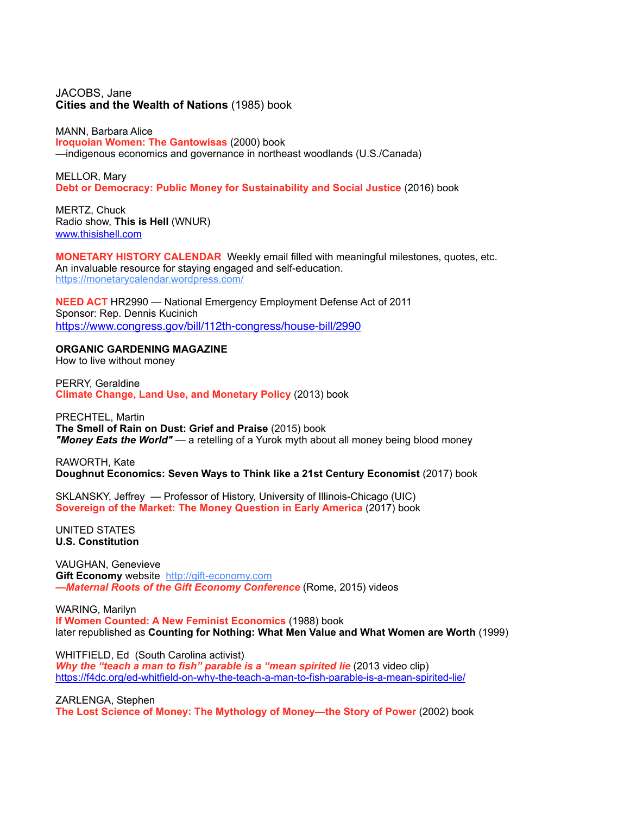## JACOBS, Jane **Cities and the Wealth of Nations** (1985) book

MANN, Barbara Alice **Iroquoian Women: The Gantowisas** (2000) book —indigenous economics and governance in northeast woodlands (U.S./Canada)

MELLOR, Mary **Debt or Democracy: Public Money for Sustainability and Social Justice** (2016) book

MERTZ, Chuck Radio show, **This is Hell** (WNUR) [www.thisishell.com](http://www.thisishell.com)

**MONETARY HISTORY CALENDAR** Weekly email filled with meaningful milestones, quotes, etc. An invaluable resource for staying engaged and self-education. <https://monetarycalendar.wordpress.com/>

**NEED ACT** HR2990 — National Emergency Employment Defense Act of 2011 Sponsor: Rep. Dennis Kucinich <https://www.congress.gov/bill/112th-congress/house-bill/2990>

## **ORGANIC GARDENING MAGAZINE**

How to live without money

PERRY, Geraldine **Climate Change, Land Use, and Monetary Policy** (2013) book

PRECHTEL, Martin **The Smell of Rain on Dust: Grief and Praise** (2015) book *"Money Eats the World"* — a retelling of a Yurok myth about all money being blood money

RAWORTH, Kate **Doughnut Economics: Seven Ways to Think like a 21st Century Economist** (2017) book

SKLANSKY, Jeffrey — Professor of History, University of Illinois-Chicago (UIC) **Sovereign of the Market: The Money Question in Early America** (2017) book

UNITED STATES **U.S. Constitution**

VAUGHAN, Genevieve **Gift Economy** website [http://gift-economy.com](http://gift-economy.com/) *—Maternal Roots of the Gift Economy Conference* (Rome, 2015) videos

WARING, Marilyn **If Women Counted: A New Feminist Economics** (1988) book later republished as **Counting for Nothing: What Men Value and What Women are Worth** (1999)

WHITFIELD, Ed (South Carolina activist) *Why the "teach a man to fish" parable is a "mean spirited lie* (2013 video clip)

<https://f4dc.org/ed-whitfield-on-why-the-teach-a-man-to-fish-parable-is-a-mean-spirited-lie/>

ZARLENGA, Stephen **The Lost Science of Money: The Mythology of Money—the Story of Power** (2002) book